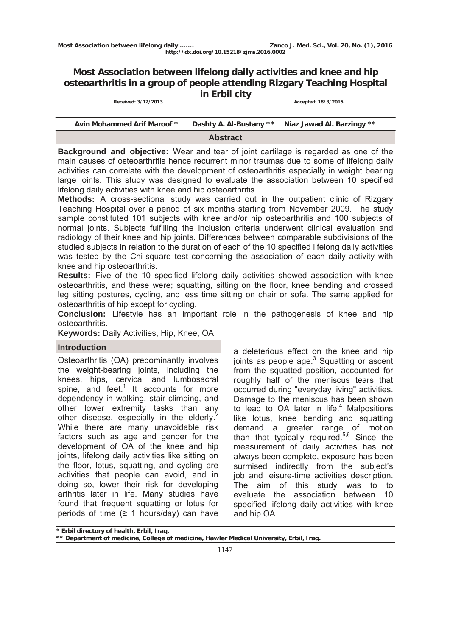# **Most Association between lifelong daily activities and knee and hip osteoarthritis in a group of people attending Rizgary Teaching Hospital in Erbil city**<br>Received: 3/12/2013 *Accepted: 18/3/2015*

| Avin Mohammed Arif Maroof * |  | Dashty A. Al-Bustany ** Niaz Jawad Al. Barzingy ** |  |  |  |
|-----------------------------|--|----------------------------------------------------|--|--|--|
| <b>Abstract</b>             |  |                                                    |  |  |  |

**Background and objective:** Wear and tear of joint cartilage is regarded as one of the main causes of osteoarthritis hence recurrent minor traumas due to some of lifelong daily activities can correlate with the development of osteoarthritis especially in weight bearing large joints. This study was designed to evaluate the association between 10 specified lifelong daily activities with knee and hip osteoarthritis.

**Methods:** A cross-sectional study was carried out in the outpatient clinic of Rizgary Teaching Hospital over a period of six months starting from November 2009. The study sample constituted 101 subjects with knee and/or hip osteoarthritis and 100 subjects of normal joints. Subjects fulfilling the inclusion criteria underwent clinical evaluation and radiology of their knee and hip joints. Differences between comparable subdivisions of the studied subjects in relation to the duration of each of the 10 specified lifelong daily activities was tested by the Chi-square test concerning the association of each daily activity with knee and hip osteoarthritis.

**Results:** Five of the 10 specified lifelong daily activities showed association with knee osteoarthritis, and these were; squatting, sitting on the floor, knee bending and crossed leg sitting postures, cycling, and less time sitting on chair or sofa. The same applied for osteoarthritis of hip except for cycling.

**Conclusion:** Lifestyle has an important role in the pathogenesis of knee and hip osteoarthritis.

**Keywords:** Daily Activities, Hip, Knee, OA.

# **Introduction**

Osteoarthritis (OA) predominantly involves the weight-bearing joints, including the knees, hips, cervical and lumbosacral spine, and feet. $1$  It accounts for more dependency in walking, stair climbing, and other lower extremity tasks than any other disease, especially in the elderly.<sup>2</sup> While there are many unavoidable risk factors such as age and gender for the development of OA of the knee and hip joints, lifelong daily activities like sitting on the floor, lotus, squatting, and cycling are activities that people can avoid, and in doing so, lower their risk for developing arthritis later in life. Many studies have found that frequent squatting or lotus for periods of time  $(≥ 1$  hours/day) can have

a deleterious effect on the knee and hip joints as people age.<sup>3</sup> Squatting or ascent from the squatted position, accounted for roughly half of the meniscus tears that occurred during "everyday living" activities. Damage to the meniscus has been shown to lead to  $OA$  later in life. $4$  Malpositions like lotus, knee bending and squatting demand a greater range of motion than that typically required.5,6 Since the measurement of daily activities has not always been complete, exposure has been surmised indirectly from the subject's job and leisure-time activities description. The aim of this study was to to evaluate the association between 10 specified lifelong daily activities with knee and hip OA.

**\* Erbil directory of health, Erbil, Iraq.** 

**\*\* Department of medicine, College of medicine, Hawler Medical University, Erbil, Iraq.**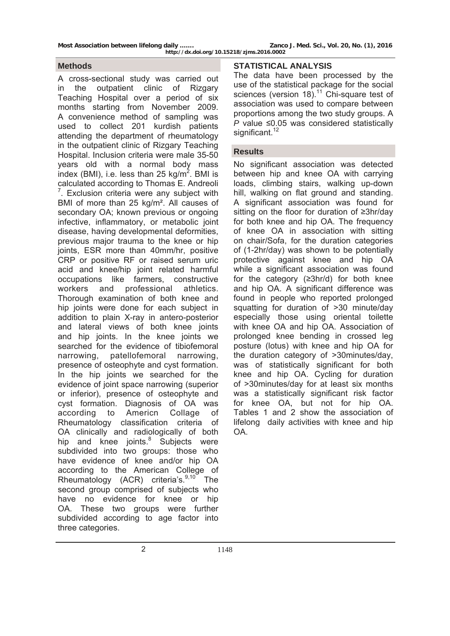**Most Association between lifelong daily ……. Zanco J. Med. Sci., Vol. 20, No. (1), 2016** 

A cross-sectional study was carried out in the outpatient clinic of Rizgary Teaching Hospital over a period of six months starting from November 2009. A convenience method of sampling was used to collect 201 kurdish patients attending the department of rheumatology in the outpatient clinic of Rizgary Teaching Hospital. Inclusion criteria were male 35-50 years old with a normal body mass index (BMI), i.e. less than 25 kg/m<sup>2</sup>. BMI is calculated according to Thomas E. Andreoli  $7$ . Exclusion criteria were any subject with BMI of more than 25 kg/m². All causes of secondary OA; known previous or ongoing infective, inflammatory, or metabolic joint disease, having developmental deformities, previous major trauma to the knee or hip joints, ESR more than 40mm/hr, positive CRP or positive RF or raised serum uric acid and knee/hip joint related harmful occupations like farmers, constructive workers and professional athletics. Thorough examination of both knee and hip joints were done for each subject in addition to plain X-ray in antero-posterior and lateral views of both knee joints and hip joints. In the knee joints we searched for the evidence of tibiofemoral narrowing, patellofemoral narrowing, presence of osteophyte and cyst formation. In the hip joints we searched for the evidence of joint space narrowing (superior or inferior), presence of osteophyte and cyst formation. Diagnosis of OA was according to Americn Collage of Rheumatology classification criteria of OA clinically and radiologically of both hip and knee joints.<sup>8</sup> Subjects were subdivided into two groups: those who have evidence of knee and/or hip OA according to the American College of Rheumatology (ACR) criteria's. $9,10^{\circ}$  The second group comprised of subjects who have no evidence for knee or hip OA. These two groups were further subdivided according to age factor into three categories.

# **Methods STATISTICAL ANALYSIS**

The data have been processed by the use of the statistical package for the social sciences (version 18). $11$  Chi-square test of association was used to compare between proportions among the two study groups. A *P* value ≤0.05 was considered statistically significant.<sup>12</sup>

## **Results**

No significant association was detected between hip and knee OA with carrying loads, climbing stairs, walking up-down hill, walking on flat ground and standing. A significant association was found for sitting on the floor for duration of ≥3hr/day for both knee and hip OA. The frequency of knee OA in association with sitting on chair/Sofa, for the duration categories of (1-2hr/day) was shown to be potentially protective against knee and hip OA while a significant association was found for the category (≥3hr/d) for both knee and hip OA. A significant difference was found in people who reported prolonged squatting for duration of >30 minute/day especially those using oriental toilette with knee OA and hip OA. Association of prolonged knee bending in crossed leg posture (lotus) with knee and hip OA for the duration category of >30minutes/day, was of statistically significant for both knee and hip OA. Cycling for duration of >30minutes/day for at least six months was a statistically significant risk factor for knee OA, but not for hip OA. Tables 1 and 2 show the association of lifelong daily activities with knee and hip OA.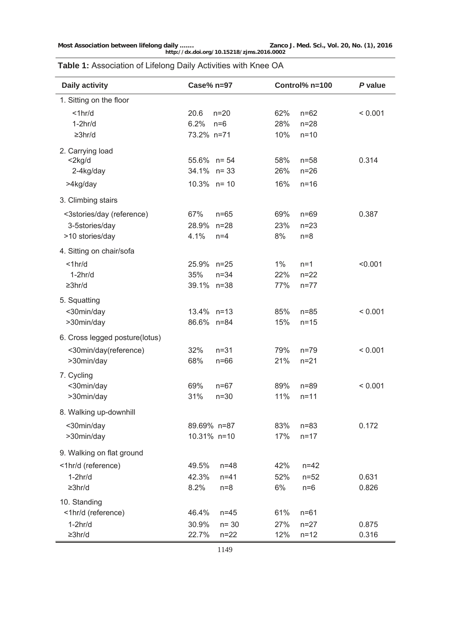**Most Association between lifelong daily ……. Zanco J. Med. Sci., Vol. 20, No. (1), 2016 http://dx.doi.org/10.15218/zjms.2016.0002**

# **Table 1:** Association of Lifelong Daily Activities with Knee OA

| <b>Daily activity</b>                                          | $Case\%$ n=97                                           | Control% n=100                                       | P value        |
|----------------------------------------------------------------|---------------------------------------------------------|------------------------------------------------------|----------------|
| 1. Sitting on the floor                                        |                                                         |                                                      |                |
| $<$ 1 $hr/d$<br>$1-2hr/d$<br>$\geq 3$ hr/d                     | 20.6<br>$n=20$<br>6.2%<br>$n=6$<br>73.2% n=71           | 62%<br>$n=62$<br>28%<br>$n = 28$<br>10%<br>$n = 10$  | < 0.001        |
| 2. Carrying load<br>$<$ 2 $kg/d$<br>2-4kg/day<br>>4kg/day      | $55.6\%$ n= 54<br>34.1% n= 33<br>$10.3\%$ n= 10         | 58%<br>$n=58$<br>26%<br>$n=26$<br>16%<br>$n=16$      | 0.314          |
| 3. Climbing stairs                                             |                                                         |                                                      |                |
| <3stories/day (reference)<br>3-5stories/day<br>>10 stories/day | 67%<br>$n=65$<br>28.9% n=28<br>4.1%<br>$n=4$            | 69%<br>$n=69$<br>23%<br>$n = 23$<br>8%<br>$n=8$      | 0.387          |
| 4. Sitting on chair/sofa                                       |                                                         |                                                      |                |
| $<$ 1 $hr/d$<br>$1-2hr/d$<br>$\geq 3$ hr/d                     | 25.9% n=25<br>35%<br>$n = 34$<br>39.1% n=38             | $1\%$<br>$n=1$<br>22%<br>$n = 22$<br>77%<br>$n = 77$ | < 0.001        |
| 5. Squatting<br><30min/day<br>>30min/day                       | 13.4% n=13<br>86.6% n=84                                | 85%<br>$n = 85$<br>15%<br>$n = 15$                   | < 0.001        |
| 6. Cross legged posture(lotus)<br><30min/day(reference)        | 32%<br>$n = 31$                                         | 79%<br>$n = 79$                                      | < 0.001        |
| >30min/day<br>7. Cycling<br><30min/day                         | 68%<br>$n=66$<br>69%<br>$n = 67$                        | 21%<br>$n = 21$<br>89%<br>$n = 89$                   | < 0.001        |
| >30min/day                                                     | 31%<br>$n=30$                                           | 11%<br>$n = 11$                                      |                |
| 8. Walking up-downhill                                         |                                                         |                                                      |                |
| <30min/day<br>>30min/day                                       | 89.69% n=87<br>10.31% n=10                              | 83%<br>$n = 83$<br>17%<br>$n = 17$                   | 0.172          |
| 9. Walking on flat ground                                      |                                                         |                                                      |                |
| <1hr/d (reference)<br>$1-2hr/d$<br>$\geq 3$ hr/d               | 49.5%<br>$n = 48$<br>42.3%<br>$n = 41$<br>8.2%<br>$n=8$ | 42%<br>$n = 42$<br>52%<br>$n = 52$<br>6%<br>$n=6$    | 0.631<br>0.826 |
| 10. Standing<br><1hr/d (reference)<br>$1-2hr/d$                | 46.4%<br>$n=45$<br>30.9%<br>$n = 30$                    | 61%<br>$n = 61$<br>27%<br>$n = 27$                   | 0.875          |
| $\geq 3$ hr/d                                                  | 22.7%<br>$n=22$                                         | 12%<br>$n = 12$                                      | 0.316          |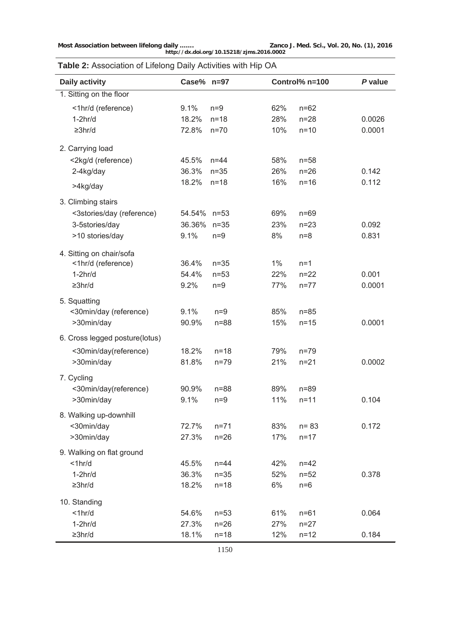**Most Association between lifelong daily ……. Zanco J. Med. Sci., Vol. 20, No. (1), 2016 http://dx.doi.org/10.15218/zjms.2016.0002**

**Table 2:** Association of Lifelong Daily Activities with Hip OA

| Daily activity                         | Case% $n=97$  |                   |            | Control% n=100       | P value |
|----------------------------------------|---------------|-------------------|------------|----------------------|---------|
| 1. Sitting on the floor                |               |                   |            |                      |         |
| <1hr/d (reference)<br>$1-2hr/d$        | 9.1%<br>18.2% | $n=9$<br>$n=18$   | 62%<br>28% | $n = 62$<br>$n = 28$ | 0.0026  |
| $\geq 3$ hr/d                          | 72.8%         | $n=70$            | 10%        | $n=10$               | 0.0001  |
| 2. Carrying load                       |               |                   |            |                      |         |
| <2kg/d (reference)                     | 45.5%         | $n = 44$          | 58%        | $n = 58$             |         |
| 2-4kg/day                              | 36.3%         | $n=35$            | 26%        | $n=26$               | 0.142   |
| >4kg/day                               | 18.2%         | $n=18$            | 16%        | $n=16$               | 0.112   |
| 3. Climbing stairs                     |               |                   |            |                      |         |
| <3stories/day (reference)              | 54.54% n=53   |                   | 69%        | $n=69$               |         |
| 3-5stories/day                         | 36.36%        | $n=35$            | 23%        | $n=23$               | 0.092   |
| >10 stories/day                        | 9.1%          | $n=9$             | 8%         | $n=8$                | 0.831   |
| 4. Sitting on chair/sofa               |               |                   |            |                      |         |
| <1hr/d (reference)                     | 36.4%         | $n=35$            | $1\%$      | $n=1$                |         |
| $1-2hr/d$                              | 54.4%         | $n=53$            | 22%        | $n = 22$             | 0.001   |
| $\geq 3$ hr/d                          | 9.2%          | $n=9$             | 77%        | $n = 77$             | 0.0001  |
|                                        |               |                   |            |                      |         |
| 5. Squatting<br><30min/day (reference) | 9.1%          | $n=9$             | 85%        | $n=85$               |         |
| >30min/day                             | 90.9%         | $n = 88$          | 15%        | $n = 15$             | 0.0001  |
| 6. Cross legged posture(lotus)         |               |                   |            |                      |         |
| <30min/day(reference)                  | 18.2%         | $n=18$            | 79%        | $n=79$               |         |
| >30min/day                             | 81.8%         | $n=79$            | 21%        | $n = 21$             | 0.0002  |
|                                        |               |                   |            |                      |         |
| 7. Cycling                             |               |                   |            |                      |         |
| <30min/day(reference)<br>>30min/day    | 90.9%<br>9.1% | $n = 88$<br>$n=9$ | 89%<br>11% | $n = 89$<br>$n = 11$ | 0.104   |
|                                        |               |                   |            |                      |         |
| 8. Walking up-downhill                 |               |                   |            |                      |         |
| <30min/day                             | 72.7%         | $n = 71$          | 83%        | $n = 83$             | 0.172   |
| >30min/day                             | 27.3%         | $n=26$            | 17%        | $n = 17$             |         |
| 9. Walking on flat ground              |               |                   |            |                      |         |
| $<$ 1 $hr/d$                           | 45.5%         | $n=44$            | 42%        | $n = 42$             |         |
| $1-2hr/d$                              | 36.3%         | $n=35$            | 52%        | $n = 52$             | 0.378   |
| $\geq 3$ hr/d                          | 18.2%         | $n=18$            | 6%         | $n=6$                |         |
| 10. Standing                           |               |                   |            |                      |         |
| $<$ 1 $hr/d$                           | 54.6%         | $n=53$            | 61%        | $n = 61$             | 0.064   |
| $1-2hr/d$                              | 27.3%         | $n=26$            | 27%        | $n = 27$             |         |
| $\geq 3$ hr/d                          | 18.1%         | $n=18$            | 12%        | $n = 12$             | 0.184   |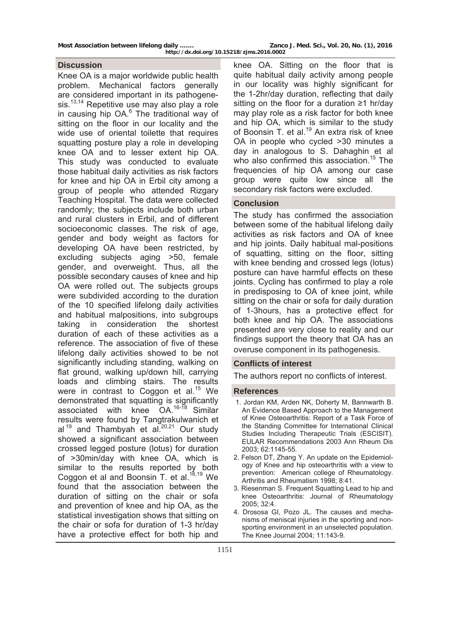## **Discussion**

Knee OA is a major worldwide public health problem. Mechanical factors generally are considered important in its pathogenesis.<sup>13,14</sup> Repetitive use may also play a role in causing hip OA.<sup>6</sup> The traditional way of sitting on the floor in our locality and the wide use of oriental toilette that requires squatting posture play a role in developing knee OA and to lesser extent hip OA. This study was conducted to evaluate those habitual daily activities as risk factors for knee and hip OA in Erbil city among a group of people who attended Rizgary Teaching Hospital. The data were collected randomly; the subjects include both urban and rural clusters in Erbil, and of different socioeconomic classes. The risk of age, gender and body weight as factors for developing OA have been restricted, by excluding subjects aging >50, female gender, and overweight. Thus, all the possible secondary causes of knee and hip OA were rolled out. The subjects groups were subdivided according to the duration of the 10 specified lifelong daily activities and habitual malpositions, into subgroups taking in consideration the shortest duration of each of these activities as a reference. The association of five of these lifelong daily activities showed to be not significantly including standing, walking on flat ground, walking up/down hill, carrying loads and climbing stairs. The results were in contrast to Coggon et al.<sup>15</sup> We demonstrated that squatting is significantly associated with knee OA.16-18 Similar results were found by Tangtrakulwanich et al  $19$  and Thambyah et al.  $20,21$  Our study showed a significant association between crossed legged posture (lotus) for duration of >30min/day with knee OA, which is similar to the results reported by both Coggon et al and Boonsin T. et al. $16,19$  We found that the association between the duration of sitting on the chair or sofa and prevention of knee and hip OA, as the statistical investigation shows that sitting on the chair or sofa for duration of 1-3 hr/day have a protective effect for both hip and

knee OA. Sitting on the floor that is quite habitual daily activity among people in our locality was highly significant for the 1-2hr/day duration, reflecting that daily sitting on the floor for a duration ≥1 hr/day may play role as a risk factor for both knee and hip OA, which is similar to the study of Boonsin T. et al.<sup>19</sup> An extra risk of knee OA in people who cycled >30 minutes a day in analogous to S. Dahaghin et al who also confirmed this association.<sup>15</sup> The frequencies of hip OA among our case group were quite low since all the secondary risk factors were excluded.

## **Conclusion**

The study has confirmed the association between some of the habitual lifelong daily activities as risk factors and OA of knee and hip joints. Daily habitual mal-positions of squatting, sitting on the floor, sitting with knee bending and crossed legs (lotus) posture can have harmful effects on these joints. Cycling has confirmed to play a role in predisposing to OA of knee joint, while sitting on the chair or sofa for daily duration of 1-3hours, has a protective effect for both knee and hip OA. The associations presented are very close to reality and our findings support the theory that OA has an overuse component in its pathogenesis.

## **Conflicts of interest**

The authors report no conflicts of interest.

#### **References**

- 1. Jordan KM, Arden NK, Doherty M, Bannwarth B. An Evidence Based Approach to the Management of Knee Osteoarthritis: Report of a Task Force of the Standing Committee for International Clinical Studies Including Therapeutic Trials (ESCISIT). EULAR Recommendations 2003 Ann Rheum Dis 2003; 62:1145-55.
- 2. Felson DT, Zhang Y. An update on the Epidemiology of Knee and hip osteoarthritis with a view to prevention: American college of Rheumatology. Arthritis and Rheumatism 1998; 8:41.
- 3. Riesenman S. Frequent Squatting Lead to hip and knee Osteoarthritis: Journal of Rheumatology 2005; 32:4.
- 4. Drososa GI, Pozo JL. The causes and mechanisms of meniscal injuries in the sporting and nonsporting environment in an unselected population. The Knee Journal 2004; 11:143-9.